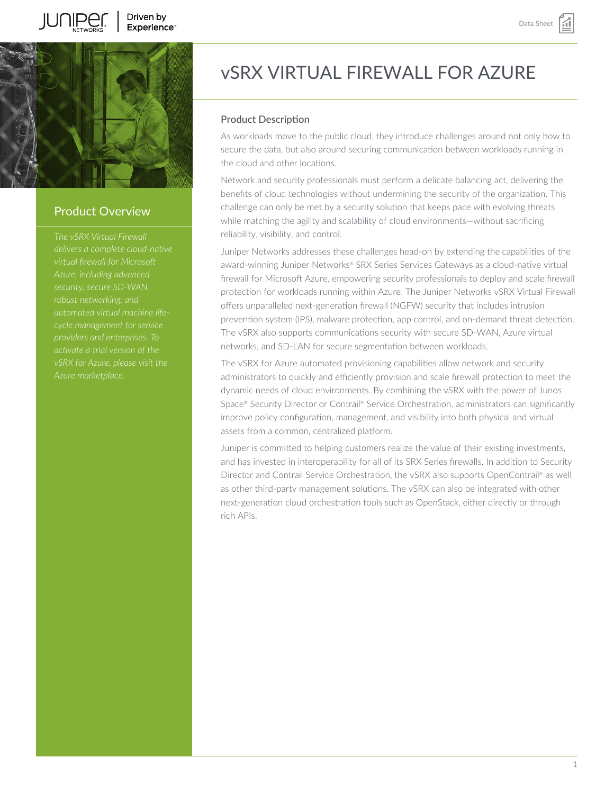



# Product Overview

*The vSRX Virtual Firewall virtual firewall for Microsoft robust networking, and automated virtual machine lifeproviders and enterprises. To activate a trial version of the vSRX for Azure, please visit the*

# vSRX VIRTUAL FIREWALL FOR AZURE

# Product Description

As workloads move to the public cloud, they introduce challenges around not only how to secure the data, but also around securing communication between workloads running in the cloud and other locations.

Network and security professionals must perform a delicate balancing act, delivering the benefits of cloud technologies without undermining the security of the organization. This challenge can only be met by a security solution that keeps pace with evolving threats while matching the agility and scalability of cloud environments—without sacrificing reliability, visibility, and control.

Juniper Networks addresses these challenges head-on by extending the capabilities of the award-winning Juniper Networks® SRX Series Services Gateways as a cloud-native virtual firewall for Microsoft Azure, empowering security professionals to deploy and scale firewall protection for workloads running within Azure. The Juniper Networks vSRX Virtual Firewall offers unparalleled next-generation firewall (NGFW) security that includes intrusion prevention system (IPS), malware protection, app control, and on-demand threat detection. The vSRX also supports communications security with secure SD-WAN, Azure virtual networks, and SD-LAN for secure segmentation between workloads.

The vSRX for Azure automated provisioning capabilities allow network and security administrators to quickly and efficiently provision and scale firewall protection to meet the dynamic needs of cloud environments. By combining the vSRX with the power of Junos Space® Security Director or Contrail® Service Orchestration, administrators can significantly improve policy configuration, management, and visibility into both physical and virtual assets from a common, centralized platform.

Juniper is committed to helping customers realize the value of their existing investments, and has invested in interoperability for all of its SRX Series firewalls. In addition to Security Director and Contrail Service Orchestration, the vSRX also supports OpenContrail® as well as other third-party management solutions. The vSRX can also be integrated with other next-generation cloud orchestration tools such as OpenStack, either directly or through rich APIs.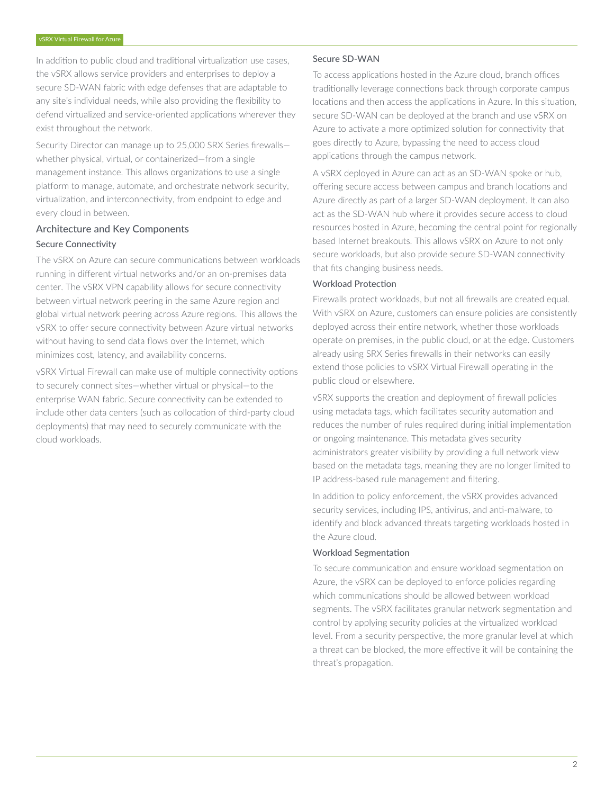In addition to public cloud and traditional virtualization use cases, the vSRX allows service providers and enterprises to deploy a secure SD-WAN fabric with edge defenses that are adaptable to any site's individual needs, while also providing the flexibility to defend virtualized and service-oriented applications wherever they exist throughout the network.

Security Director can manage up to 25,000 SRX Series firewalls whether physical, virtual, or containerized—from a single management instance. This allows organizations to use a single platform to manage, automate, and orchestrate network security, virtualization, and interconnectivity, from endpoint to edge and every cloud in between.

# Architecture and Key Components Secure Connectivity

The vSRX on Azure can secure communications between workloads running in different virtual networks and/or an on-premises data center. The vSRX VPN capability allows for secure connectivity between virtual network peering in the same Azure region and global virtual network peering across Azure regions. This allows the vSRX to offer secure connectivity between Azure virtual networks without having to send data flows over the Internet, which minimizes cost, latency, and availability concerns.

vSRX Virtual Firewall can make use of multiple connectivity options to securely connect sites—whether virtual or physical—to the enterprise WAN fabric. Secure connectivity can be extended to include other data centers (such as collocation of third-party cloud deployments) that may need to securely communicate with the cloud workloads.

#### Secure SD-WAN

To access applications hosted in the Azure cloud, branch offices traditionally leverage connections back through corporate campus locations and then access the applications in Azure. In this situation, secure SD-WAN can be deployed at the branch and use vSRX on Azure to activate a more optimized solution for connectivity that goes directly to Azure, bypassing the need to access cloud applications through the campus network.

A vSRX deployed in Azure can act as an SD-WAN spoke or hub, offering secure access between campus and branch locations and Azure directly as part of a larger SD-WAN deployment. It can also act as the SD-WAN hub where it provides secure access to cloud resources hosted in Azure, becoming the central point for regionally based Internet breakouts. This allows vSRX on Azure to not only secure workloads, but also provide secure SD-WAN connectivity that fits changing business needs.

#### Workload Protection

Firewalls protect workloads, but not all firewalls are created equal. With vSRX on Azure, customers can ensure policies are consistently deployed across their entire network, whether those workloads operate on premises, in the public cloud, or at the edge. Customers already using SRX Series firewalls in their networks can easily extend those policies to vSRX Virtual Firewall operating in the public cloud or elsewhere.

vSRX supports the creation and deployment of firewall policies using metadata tags, which facilitates security automation and reduces the number of rules required during initial implementation or ongoing maintenance. This metadata gives security administrators greater visibility by providing a full network view based on the metadata tags, meaning they are no longer limited to IP address-based rule management and filtering.

In addition to policy enforcement, the vSRX provides advanced security services, including IPS, antivirus, and anti-malware, to identify and block advanced threats targeting workloads hosted in the Azure cloud.

#### Workload Segmentation

To secure communication and ensure workload segmentation on Azure, the vSRX can be deployed to enforce policies regarding which communications should be allowed between workload segments. The vSRX facilitates granular network segmentation and control by applying security policies at the virtualized workload level. From a security perspective, the more granular level at which a threat can be blocked, the more effective it will be containing the threat's propagation.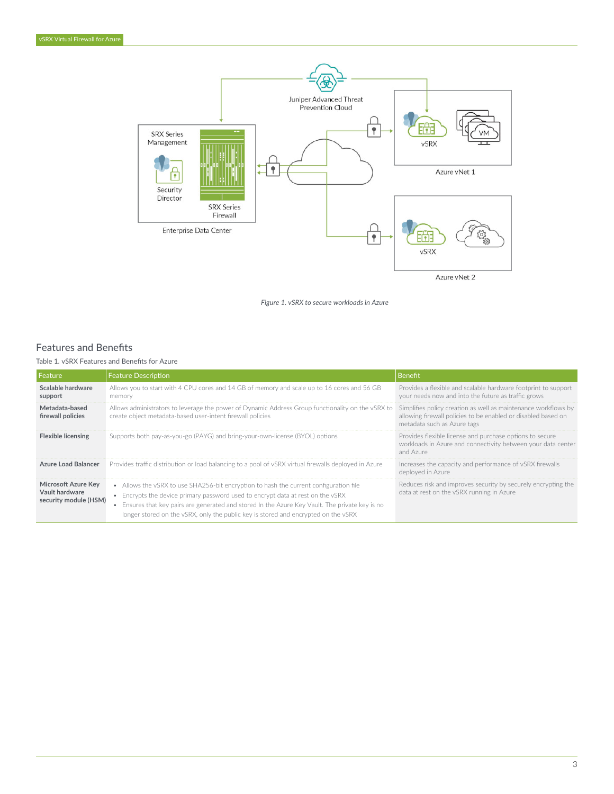

*Figure 1. vSRX to secure workloads in Azure*

# Features and Benefits

Table 1. vSRX Features and Benefits for Azure

| <b>Feature</b>                                                 | <b>Feature Description</b>                                                                                                                                                                                                                                                                                                                                        | <b>Benefit</b>                                                                                                                                                 |
|----------------------------------------------------------------|-------------------------------------------------------------------------------------------------------------------------------------------------------------------------------------------------------------------------------------------------------------------------------------------------------------------------------------------------------------------|----------------------------------------------------------------------------------------------------------------------------------------------------------------|
| Scalable hardware<br>support                                   | Allows you to start with 4 CPU cores and 14 GB of memory and scale up to 16 cores and 56 GB<br>memory                                                                                                                                                                                                                                                             | Provides a flexible and scalable hardware footprint to support<br>your needs now and into the future as traffic grows                                          |
| Metadata-based<br>firewall policies                            | Allows administrators to leverage the power of Dynamic Address Group functionality on the vSRX to<br>create object metadata-based user-intent firewall policies                                                                                                                                                                                                   | Simplifies policy creation as well as maintenance workflows by<br>allowing firewall policies to be enabled or disabled based on<br>metadata such as Azure tags |
| <b>Flexible licensing</b>                                      | Supports both pay-as-you-go (PAYG) and bring-your-own-license (BYOL) options                                                                                                                                                                                                                                                                                      | Provides flexible license and purchase options to secure<br>workloads in Azure and connectivity between your data center<br>and Azure                          |
| <b>Azure Load Balancer</b>                                     | Provides traffic distribution or load balancing to a pool of vSRX virtual firewalls deployed in Azure                                                                                                                                                                                                                                                             | Increases the capacity and performance of vSRX firewalls<br>deploved in Azure                                                                                  |
| Microsoft Azure Key<br>Vault hardware<br>security module (HSM) | • Allows the vSRX to use SHA256-bit encryption to hash the current configuration file<br>• Encrypts the device primary password used to encrypt data at rest on the vSRX<br>• Ensures that key pairs are generated and stored In the Azure Key Vault. The private key is no<br>longer stored on the vSRX, only the public key is stored and encrypted on the vSRX | Reduces risk and improves security by securely encrypting the<br>data at rest on the vSRX running in Azure                                                     |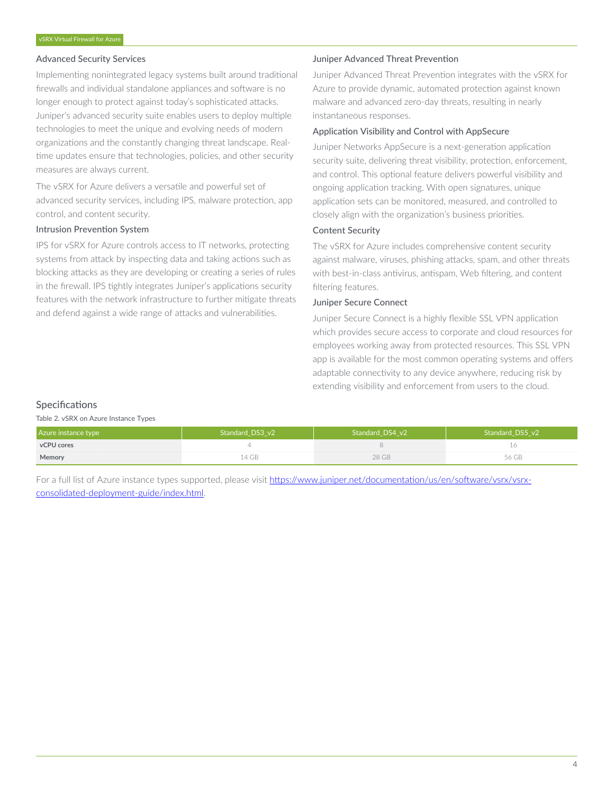## Advanced Security Services

Implementing nonintegrated legacy systems built around traditional firewalls and individual standalone appliances and software is no longer enough to protect against today's sophisticated attacks. Juniper's advanced security suite enables users to deploy multiple technologies to meet the unique and evolving needs of modern organizations and the constantly changing threat landscape. Realtime updates ensure that technologies, policies, and other security measures are always current.

The vSRX for Azure delivers a versatile and powerful set of advanced security services, including IPS, malware protection, app control, and content security.

#### Intrusion Prevention System

IPS for vSRX for Azure controls access to IT networks, protecting systems from attack by inspecting data and taking actions such as blocking attacks as they are developing or creating a series of rules in the firewall. IPS tightly integrates Juniper's applications security features with the network infrastructure to further mitigate threats and defend against a wide range of attacks and vulnerabilities.

#### Juniper Advanced Threat Prevention

Juniper Advanced Threat Prevention integrates with the vSRX for Azure to provide dynamic, automated protection against known malware and advanced zero-day threats, resulting in nearly instantaneous responses.

#### Application Visibility and Control with AppSecure

Juniper Networks AppSecure is a next-generation application security suite, delivering threat visibility, protection, enforcement, and control. This optional feature delivers powerful visibility and ongoing application tracking. With open signatures, unique application sets can be monitored, measured, and controlled to closely align with the organization's business priorities.

### Content Security

The vSRX for Azure includes comprehensive content security against malware, viruses, phishing attacks, spam, and other threats with best-in-class antivirus, antispam, Web filtering, and content filtering features.

### Juniper Secure Connect

Juniper Secure Connect is a highly flexible SSL VPN application which provides secure access to corporate and cloud resources for employees working away from protected resources. This SSL VPN app is available for the most common operating systems and offers adaptable connectivity to any device anywhere, reducing risk by extending visibility and enforcement from users to the cloud.

#### **Specifications**

Table 2. vSRX on Azure Instance Types

| Azure instance type | Standard DS3 v2 | Standard DS4 v21 | Standard DS5 v2 |
|---------------------|-----------------|------------------|-----------------|
| vCPU cores          |                 |                  |                 |
| Memory              | .4 GB           | 28 GB            | 56 GB           |

For a full list of Azure instance types supported, please visit [https://www.juniper.net/documentation/us/en/software/vsrx/vsrx](https://www.juniper.net/documentation/us/en/software/vsrx/vsrx-consolidated-deployment-guide/index.html)[consolidated-deployment-guide/index.html](https://www.juniper.net/documentation/us/en/software/vsrx/vsrx-consolidated-deployment-guide/index.html).